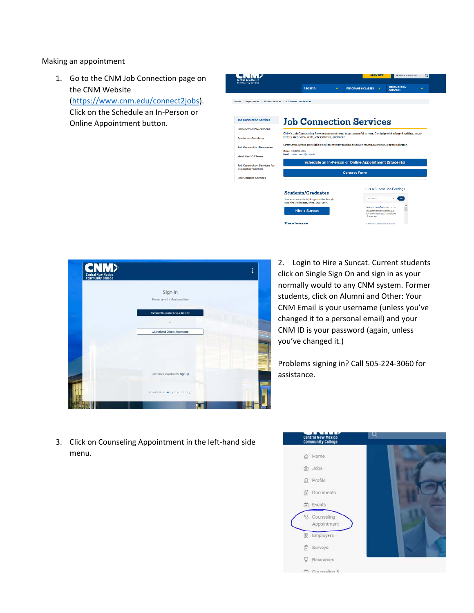Making an appointment

1. Go to the CNM Job Connection page on the CNM Website (https://www.cnm.edu/connect2jobs). Click on the Schedule an In‐Person or Online Appointment button.





2. Login to Hire a Suncat. Current students click on Single Sign On and sign in as your normally would to any CNM system. Former students, click on Alumni and Other: Your CNM Email is your username (unless you've changed it to a personal email) and your CNM ID is your password (again, unless you've changed it.)

Problems signing in? Call 505‐224‐3060 for assistance.

3. Click on Counseling Appointment in the left‐hand side menu.

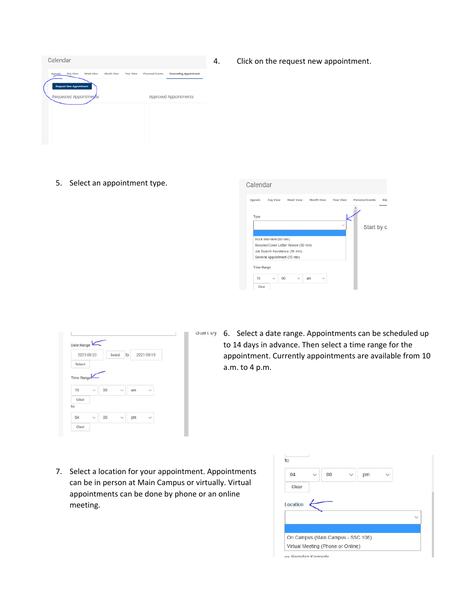

4. Click on the request new appointment.

5. Select an appointment type.



| 2021-08-20 |   |    | Select<br>to |    | 2021-09-19           |  |
|------------|---|----|--------------|----|----------------------|--|
| Select     |   |    |              |    |                      |  |
|            |   |    |              |    |                      |  |
|            |   |    |              |    |                      |  |
| 10         | Ü | 00 | $\sim$       | am | $\ddot{\phantom{1}}$ |  |
| Clear      |   |    |              |    |                      |  |
| to         |   |    |              |    |                      |  |

otelling 6. Select a date range. Appointments can be scheduled up to 14 days in advance. Then select a time range for the appointment. Currently appointments are available from 10 a.m. to 4 p.m.

7. Select a location for your appointment. Appointments can be in person at Main Campus or virtually. Virtual appointments can be done by phone or an online meeting.

| 04       | 00 | pm |  |
|----------|----|----|--|
| Clear    |    |    |  |
|          |    |    |  |
|          |    |    |  |
|          |    |    |  |
| Location |    |    |  |
|          |    |    |  |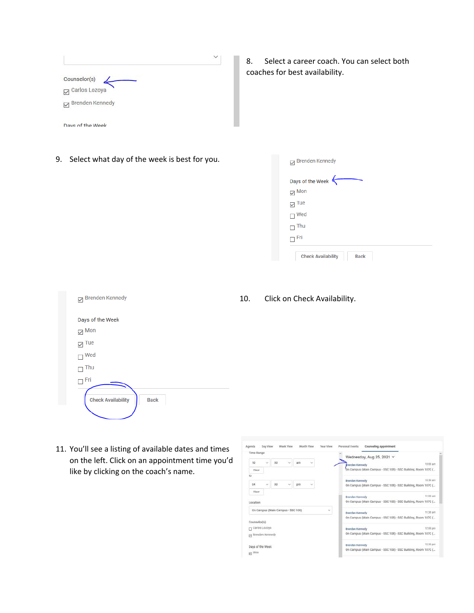| Counselor(s)                                      |  |
|---------------------------------------------------|--|
| Carlos Lozoya<br><b>Brenden Kennedy</b><br>$\Box$ |  |

8. Select a career coach. You can select both coaches for best availability.

9. Select what day of the week is best for you.

Davs of the Week

| Days of the Week |  |  |  |
|------------------|--|--|--|
| $\boxdot$ Mon    |  |  |  |
| $\boxdot$ Tue    |  |  |  |
| $\Box$ Wed       |  |  |  |
| Thu              |  |  |  |
| Fri              |  |  |  |

| Brenden Kennedy                          |
|------------------------------------------|
| Days of the Week                         |
| $\vee$ Mon                               |
| Tue<br>$\checkmark$                      |
| Wed                                      |
| Thu                                      |
| Fri                                      |
| <b>Check Availability</b><br><b>Back</b> |

11. You'll see a listing of available dates and times on the left. Click on an appointment time you'd like by clicking on the coach's name.

10. Click on Check Availability.

| Time Range                        |    |   |    |        |        | Wednesday, Aug 25, 2021 $\times$                              |          |
|-----------------------------------|----|---|----|--------|--------|---------------------------------------------------------------|----------|
| 10<br>$\sim$                      | DO |   | am | $\sim$ |        | renden Kennedy                                                | 10:00 am |
| Clear                             |    |   |    |        |        | On Campus (Main Campus - SSC 108) - SSC Building, Room 107C ( |          |
| to                                |    |   |    |        |        |                                                               |          |
| 04<br>w                           | 00 | w | pm | $\sim$ |        | Brenden Kennedy                                               | 10:30 am |
|                                   |    |   |    |        |        | On Campus (Main Campus - SSC 108) - SSC Building, Room 107C ( |          |
| Clear                             |    |   |    |        |        | Brenden Kennedy                                               | 11:00 am |
| Location                          |    |   |    |        |        | On Campus (Main Campus - SSC 108) - SSC Building, Room 107C ( |          |
| On Campus (Main Campus - SSC 108) |    |   |    |        | $\sim$ | <b>Brenden Kennedy</b>                                        | 11:30 am |
|                                   |    |   |    |        |        | On Campus (Main Campus - SSC 108) - SSC Building, Room 107C ( |          |
| Counselor(s)                      |    |   |    |        |        |                                                               |          |
| Carlos Lozoya                     |    |   |    |        |        | Brenden Kennedy                                               | 12:00 pm |
| Brenden Kennedy<br><b>DI</b>      |    |   |    |        |        | On Campus (Main Campus - SSC 108) - SSC Building, Room 107C ( |          |
| Days of the Week                  |    |   |    |        |        | Brenden Kennedy                                               | 12:30 pm |
|                                   |    |   |    |        |        | On Campus (Main Campus - SSC 108) - SSC Building, Room 107C ( |          |
| El Mon                            |    |   |    |        |        |                                                               |          |